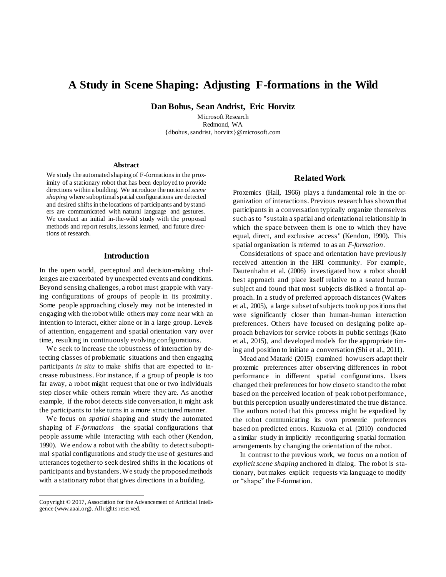# **A Study in Scene Shaping: Adjusting F-formations in the Wild**

**Dan Bohus, Sean Andrist, Eric Horvitz**

Microsoft Research Redmond, WA {dbohus, sandrist, horvitz}@microsoft.com

#### **Abstract**

We study the automated shaping of F-formations in the proximity of a stationary robot that has been deployed to provide directions within a building. We introduce the notion of *scene shaping* where suboptimal spatial configurations are detected and desired shifts in the locations of participants and bystanders are communicated with natural language and gestures. We conduct an initial in-the-wild study with the proposed methods and report results, lessons learned, and future directions of research.

### **Introduction**

In the open world, perceptual and decision-making challenges are exacerbated by unexpected events and conditions. Beyond sensing challenges, a robot must grapple with varying configurations of groups of people in its proximity. Some people approaching closely may not be interested in engaging with the robot while others may come near with an intention to interact, either alone or in a large group. Levels of attention, engagement and spatial orientation vary over time, resulting in continuously evolving configurations.

We seek to increase the robustness of interaction by detecting classes of problematic situations and then engaging participants *in situ* to make shifts that are expected to increase robustness. For instance, if a group of people is too far away, a robot might request that one or two individuals step closer while others remain where they are. As another example, if the robot detects side conversation, it might ask the participants to take turns in a more structured manner.

We focus on *spatial* shaping and study the automated shaping of *F-formations*—the spatial configurations that people assume while interacting with each other (Kendon, 1990). We endow a robot with the ability to detect suboptimal spatial configurations and study the use of gestures and utterances together to seek desired shifts in the locations of participants and bystanders. We study the proposed methods with a stationary robot that gives directions in a building.

l

### **Related Work**

Proxemics (Hall, 1966) plays a fundamental role in the organization of interactions. Previous research has shown that participants in a conversation typically organize themselves such as to "sustain a spatial and orientational relationship in which the space between them is one to which they have equal, direct, and exclusive access " (Kendon, 1990). This spatial organization is referred to as an *F-formation*.

Considerations of space and orientation have previously received attention in the HRI community. For example, Dautenhahn et al. (2006) investigated how a robot should best approach and place itself relative to a seated human subject and found that most subjects disliked a frontal approach. In a study of preferred approach distances (Walters et al., 2005), a large subset of subjects took up positions that were significantly closer than human-human interaction preferences. Others have focused on designing polite approach behaviors for service robots in public settings (Kato et al., 2015), and developed models for the appropriate timing and position to initiate a conversation (Shi et al., 2011).

Mead and Matarić (2015) examined how users adapt their proxemic preferences after observing differences in robot performance in different spatial configurations. Users changed their preferences for how close to stand to the robot based on the perceived location of peak robot performance, but this perception usually underestimated the true distance. The authors noted that this process might be expedited by the robot communicating its own proxemic preferences based on predicted errors. Kuzuoka et al. (2010) conducted a similar study in implicitly reconfiguring spatial formation arrangements by changing the orientation of the robot.

In contrast to the previous work, we focus on a notion of *explicit scene shaping* anchored in dialog. The robot is stationary, but makes explicit requests via language to modify or "shape" the F-formation.

Copyright © 2017, Association for the Advancement of Artificial Intelligence (www.aaai.org). All rights reserved.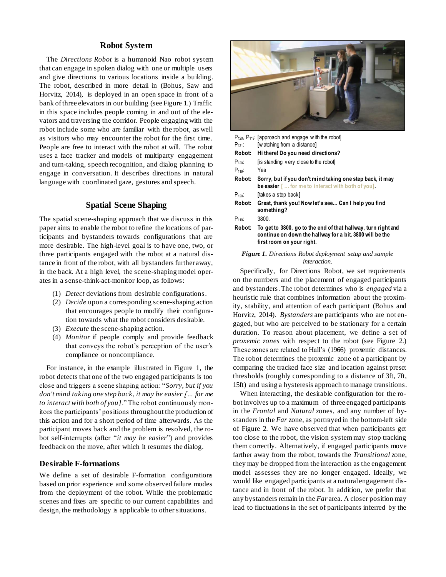### **Robot System**

The *Directions Robot* is a humanoid Nao robot system that can engage in spoken dialog with one or multiple users and give directions to various locations inside a building. The robot, described in more detail in (Bohus, Saw and Horvitz, 2014), is deployed in an open space in front of a bank of three elevators in our building (see Figure 1.) Traffic in this space includes people coming in and out of the elevators and traversing the corridor. People engaging with the robot include some who are familiar with the robot, as well as visitors who may encounter the robot for the first time. People are free to interact with the robot at will. The robot uses a face tracker and models of multiparty engagement and turn-taking, speech recognition, and dialog planning to engage in conversation. It describes directions in natural language with coordinated gaze, gestures and speech.

## **Spatial Scene Shaping**

The spatial scene-shaping approach that we discuss in this paper aims to enable the robot to refine the locations of participants and bystanders towards configurations that are more desirable. The high-level goal is to have one, two, or three participants engaged with the robot at a natural distance in front of the robot, with all bystanders further away, in the back. At a high level, the scene-shaping model operates in a sense-think-act-monitor loop, as follows:

- (1) *Detect* deviations from desirable configurations.
- (2) *Decide* upon a corresponding scene-shaping action that encourages people to modify their configuration towards what the robot considers desirable.
- (3) *Execute* the scene-shaping action.
- (4) *Monitor* if people comply and provide feedback that conveys the robot's perception of the user's compliance or noncompliance.

For instance, in the example illustrated in Figure 1, the robot detects that one of the two engaged participants is too close and triggers a scene shaping action: "*Sorry, but if you don't mind taking one step back, it may be easier [… for me to interact with both of you]*." The robot continuously monitors the participants' positions throughout the production of this action and for a short period of time afterwards. As the participant moves back and the problem is resolved, the robot self-interrupts (after "*it may be easier*") and provides feedback on the move, after which it resumes the dialog.

### **Desirable F-formations**

We define a set of desirable F-formation configurations based on prior experience and some observed failure modes from the deployment of the robot. While the problematic scenes and fixes are specific to our current capabilities and design, the methodology is applicable to other situations.



| $P_{121}$ : | $P_{120}$ , $P_{119}$ : [approach and engage with the robot]<br>[watching from a distance]                                                             |
|-------------|--------------------------------------------------------------------------------------------------------------------------------------------------------|
| Robot:      | Hi there! Do you need directions?                                                                                                                      |
| $P_{120}$ : | is standing very close to the robot                                                                                                                    |
| $P_{119}$ : | Yes                                                                                                                                                    |
| Robot:      | Sorry, but if you don't mind taking one step back, it may<br><b>be easier</b> $\left[ \,\ldots\,\text{for me to interact with both of you} \right]$ .  |
| $P120$ :    | [takes a step back]                                                                                                                                    |
| Robot:      | Great, thank you! Now let's see Can I help you find<br>something?                                                                                      |
| $P_{119}$ : | 3800.                                                                                                                                                  |
| Robot:      | To get to 3800, go to the end of that hallway, turn right and<br>continue on down the hallway for a bit. 3800 will be the<br>first room on vour right. |

#### *Figure 1***.** *Directions Robot deployment setup and sample interaction.*

Specifically, for Directions Robot, we set requirements on the numbers and the placement of engaged participants and bystanders.The robot determines who is *engaged* via a heuristic rule that combines information about the proximity, stability, and attention of each participant (Bohus and Horvitz, 2014). *Bystanders* are participants who are not engaged, but who are perceived to be stationary for a certain duration. To reason about placement, we define a set of *proxemic zones* with respect to the robot (see Figure 2.) These zones are related to Hall's (1966) proxemic distances. The robot determines the proxemic zone of a participant by comparing the tracked face size and location against preset thresholds (roughly corresponding to a distance of 3ft, 7ft, 15ft) and using a hysteresis approach to manage transitions.

When interacting, the desirable configuration for the robot involves up to a maximum of three engaged participants in the *Frontal* and *Natural* zones, and any number of bystanders in the *Far* zone, as portrayed in the bottom-left side of Figure 2. We have observed that when participants get too close to the robot, the vision system may stop tracking them correctly. Alternatively, if engaged participants move farther away from the robot, towards the *Transitional* zone, they may be dropped from the interaction as the engagement model assesses they are no longer engaged. Ideally, we would like engaged participants at a natural engagement distance and in front of the robot. In addition, we prefer that any bystanders remain in the *Far* area. A closer position may lead to fluctuations in the set of participants inferred by the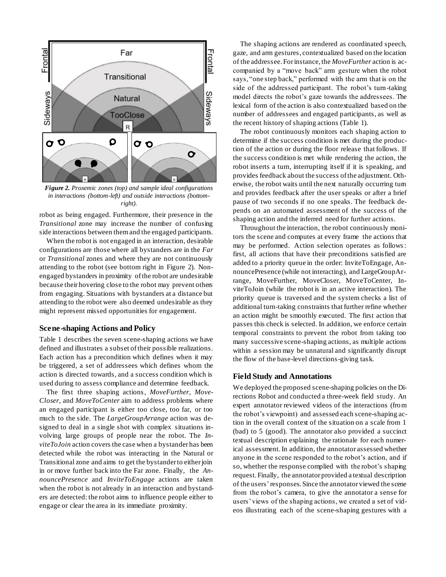

*Figure 2. Proxemic zones (top) and sample ideal configurations in interactions (bottom-left) and outside interactions (bottomright).*

robot as being engaged. Furthermore, their presence in the *Transitional* zone may increase the number of confusing side interactions between them and the engaged participants.

When the robot is not engaged in an interaction, desirable configurations are those where all bystanders are in the *Far* or *Transitional* zones and where they are not continuously attending to the robot (see bottom right in Figure 2). Nonengaged bystanders in proximity of the robot are undesirable because their hovering close to the robot may prevent others from engaging. Situations with bystanders at a distance but attending to the robot were also deemed undesirable as they might represent missed opportunities for engagement.

## **Scene-shaping Actions and Policy**

Table 1 describes the seven scene-shaping actions we have defined and illustrates a subset of their possible realizations. Each action has a precondition which defines when it may be triggered, a set of addressees which defines whom the action is directed towards, and a success condition which is used during to assess compliance and determine feedback.

The first three shaping actions, *MoveFurther*, *Move-Closer*, and *MoveToCenter* aim to address problems where an engaged participant is either too close, too far, or too much to the side. The *LargeGroupArrange* action was designed to deal in a single shot with complex situations involving large groups of people near the robot. The *InviteToJoin* action covers the case when a bystander has been detected while the robot was interacting in the Natural or Transitional zone and aims to get the bystander to either join in or move further back into the Far zone. Finally, the *AnnouncePresence* and *InviteToEngage* actions are taken when the robot is not already in an interaction and bystanders are detected: the robot aims to influence people either to engage or clear the area in its immediate proximity.

The shaping actions are rendered as coordinated speech, gaze, and arm gestures, contextualized based on the location of the addressee. For instance, the *MoveFurther* action is accompanied by a "move back" arm gesture when the robot says, "one step back," performed with the arm that is on the side of the addressed participant. The robot's turn-taking model directs the robot's gaze towards the addressees. The lexical form of the action is also contextualized based on the number of addressees and engaged participants, as well as the recent history of shaping actions (Table 1).

The robot continuously monitors each shaping action to determine if the success condition is met during the production of the action or during the floor release that follows. If the success condition is met while rendering the action, the robot inserts a turn, interrupting itself if it is speaking, and provides feedback about the success of the adjustment. Otherwise, the robot waits until the next naturally occurring tum and provides feedback after the user speaks or after a brief pause of two seconds if no one speaks. The feedback depends on an automated assessment of the success of the shaping action and the inferred need for further actions.

Throughout the interaction, the robot continuously monitors the scene and computes at every frame the actions that may be performed. Action selection operates as follows : first, all actions that have their preconditions satisfied are added to a priority queue in the order: InviteToEngage, AnnouncePresence (while not interacting), and LargeGroupArrange, MoveFurther, MoveCloser, MoveToCenter, InviteToJoin (while the robot is in an active interaction). The priority queue is traversed and the system checks a list of additional turn-taking constraints that further refine whether an action might be smoothly executed. The first action that passes this check is selected. In addition, we enforce certain temporal constraints to prevent the robot from taking too many successive scene-shaping actions, as multiple actions within a session may be unnatural and significantly disrupt the flow of the base-level directions-giving task.

### **Field Study and Annotations**

We deployed the proposed scene-shaping policies on the Directions Robot and conducted a three-week field study. An expert annotator reviewed videos of the interactions (from the robot's viewpoint) and assessed each scene-shaping action in the overall context of the situation on a scale from 1 (bad) to 5 (good). The annotator also provided a succinct textual description explaining the rationale for each numerical assessment. In addition, the annotator assessed whether anyone in the scene responded to the robot's action, and if so, whether the response complied with the robot's shaping request. Finally, the annotator provided a textual description of the users'responses. Since the annotator viewed the scene from the robot's camera, to give the annotator a sense for users' views of the shaping actions, we created a set of videos illustrating each of the scene-shaping gestures with a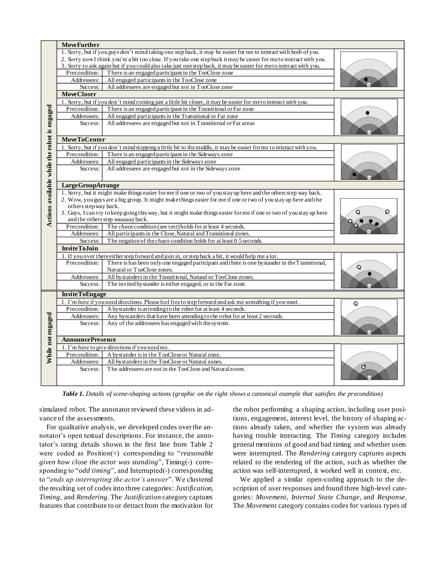|                                              | <b>MoveFurther</b>                                                                                                  |                                                                                                                   |  |  |  |  |
|----------------------------------------------|---------------------------------------------------------------------------------------------------------------------|-------------------------------------------------------------------------------------------------------------------|--|--|--|--|
|                                              |                                                                                                                     | 1. Sorry, but if you guys don't mind taking one step back, it may be easier for me to interact with both of you.  |  |  |  |  |
|                                              | 2. Sorry now I think you're a bit too close. If you take one step back it may be easier for meto interact with you. |                                                                                                                   |  |  |  |  |
|                                              | 3. Sorry to ask again but if you could also take just one step back, it may be easier for meto interact with you.   |                                                                                                                   |  |  |  |  |
|                                              | Precondition:                                                                                                       | There is an engaged participant in the TooClose zone                                                              |  |  |  |  |
|                                              | Addressees:                                                                                                         | All engaged participants in the TooClose zone                                                                     |  |  |  |  |
|                                              | Success:                                                                                                            | All addressees are engaged but not in TooClose zone                                                               |  |  |  |  |
|                                              | <b>MoveCloser</b>                                                                                                   |                                                                                                                   |  |  |  |  |
| Actions available while the robot is engaged | 1. Sorry, but if you don't mind coming just a little bit closer, it may be easier for meto interact with you.       |                                                                                                                   |  |  |  |  |
|                                              | Precondition:                                                                                                       | There is an engaged participant in the Transitional or Far zone                                                   |  |  |  |  |
|                                              | Addressees:                                                                                                         | All engaged participants in the Transitional or Far zone                                                          |  |  |  |  |
|                                              | Success:                                                                                                            | All addressees are engaged but not in Transitional or Far areas                                                   |  |  |  |  |
|                                              |                                                                                                                     |                                                                                                                   |  |  |  |  |
|                                              | <b>MoveToCenter</b>                                                                                                 |                                                                                                                   |  |  |  |  |
|                                              |                                                                                                                     | 1. Sorry, but if you don't mind stepping a little bit to the middle, it may be easier forme to interact with you. |  |  |  |  |
|                                              | Precondition:                                                                                                       | There is an engaged participant in the Sideways zone                                                              |  |  |  |  |
|                                              | Addressees:                                                                                                         | All engaged participants in the Sideways zone                                                                     |  |  |  |  |
|                                              | Success:                                                                                                            | All addressees are engaged but not in the Sideways zone                                                           |  |  |  |  |
|                                              |                                                                                                                     |                                                                                                                   |  |  |  |  |
|                                              | <b>LargeGroupArrange</b>                                                                                            |                                                                                                                   |  |  |  |  |
|                                              |                                                                                                                     | 1. Sorry, but it might make things easier forme if one or two of you stay up here and the others step way back.   |  |  |  |  |
|                                              |                                                                                                                     | 2. Wow, you guys are a big group. It might make things easier for me if one or two of you stay up here and the    |  |  |  |  |
|                                              | others step way back.                                                                                               |                                                                                                                   |  |  |  |  |
|                                              | 3. Guys, I can try to keep going this way, but it might make things easier forme if one or two of you stay up here  |                                                                                                                   |  |  |  |  |
|                                              | and the others step waaaaay back.                                                                                   |                                                                                                                   |  |  |  |  |
|                                              | Precondition:                                                                                                       | The <i>chaos</i> condition (see text) holds for at least 4 seconds.                                               |  |  |  |  |
|                                              | Addressees:                                                                                                         | All participants in the Close, Natural and Transitional zones.                                                    |  |  |  |  |
|                                              | Success: 1                                                                                                          | The negation of the <i>chaos</i> condition holds for at least 0.5 seconds.                                        |  |  |  |  |
|                                              | <b>InviteToJoin</b>                                                                                                 |                                                                                                                   |  |  |  |  |
|                                              |                                                                                                                     | 1. If you over there either step forward and join in, or step back a bit, it would help me a lot.                 |  |  |  |  |
|                                              | Precondition:                                                                                                       | There is has been only one engaged participant and there is one by stander in the Transitional,                   |  |  |  |  |
|                                              |                                                                                                                     | Natural or TooClose zones.<br>All bystanders in the Transitional, Natural or TooClose zones.                      |  |  |  |  |
|                                              | Addressees:                                                                                                         |                                                                                                                   |  |  |  |  |
|                                              | Success:                                                                                                            | The invited by stander is either engaged, or in the Far zone.                                                     |  |  |  |  |
|                                              | <b>InviteToEngage</b>                                                                                               | 1. I'm here if you need directions. Please feel free to step forward and ask me something if you want.            |  |  |  |  |
|                                              |                                                                                                                     | Q                                                                                                                 |  |  |  |  |
|                                              | Precondition:                                                                                                       | A bystander is attending to the robot for at least 4 seconds.                                                     |  |  |  |  |
|                                              | Addressees:                                                                                                         | Any bystanders that have been attending to the robot for at least 2 seconds.                                      |  |  |  |  |
|                                              | Success:                                                                                                            | Any of the addressees has engaged with the system.                                                                |  |  |  |  |
|                                              |                                                                                                                     |                                                                                                                   |  |  |  |  |
| While not engaged                            | <b>AnnouncePresence</b>                                                                                             |                                                                                                                   |  |  |  |  |
|                                              | 1. I'm here to give directions if you need me.                                                                      |                                                                                                                   |  |  |  |  |
|                                              | Precondition:                                                                                                       | A bystander is in the TooClose or Natural zone.                                                                   |  |  |  |  |
|                                              | Addressees:                                                                                                         | All bystanders in the TooClose or Natural zones.                                                                  |  |  |  |  |
|                                              | Success:                                                                                                            | The addressees are not in the TooClose and Natural zones.                                                         |  |  |  |  |
|                                              |                                                                                                                     |                                                                                                                   |  |  |  |  |
|                                              |                                                                                                                     |                                                                                                                   |  |  |  |  |

*Table 1. Details of scene-shaping actions (graphic on the right shows a canonical example that satisfies the precondition)*

simulated robot. The annotator reviewed these videos in advance of the assessments.

For qualitative analysis, we developed codes over the annotator's open textual descriptions. For instance, the annotator's rating details shown in the first line from Table 2 were coded as Position(+) corresponding to "*reasonable given how close the actor was standing*", Timing(-) corresponding to "*odd timing*", and Interrupted(-) corresponding to "*ends up interrupting the actor's answer*". We clustered the resulting set of codes into three categories: *Justification*, *Timing*, and *Rendering*. The *Justification* category captures features that contribute to or detract from the motivation for

the robot performing a shaping action, including user positions, engagement, interest level, the history of shaping actions already taken, and whether the system was already having trouble interacting. The *Timing* category includes general mentions of good and bad timing and whether users were interrupted. The *Rendering* category captures aspects related to the rendering of the action, such as whether the action was self-interrupted, it worked well in context, etc.

We applied a similar open-coding approach to the description of user responses and found three high-level categories: *Movement*, *Internal State Change*, and *Response*. The *Movement* category contains codes for various types of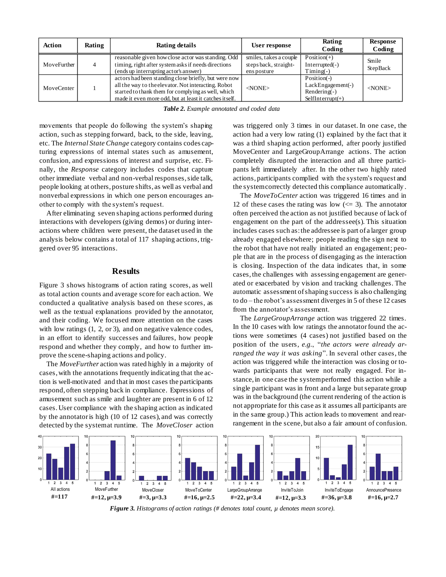| Action      | Rating | Rating details                                                                                                                                                                                                              | User response                                                  | Rating<br>Coding                                                           | Response<br>Coding |
|-------------|--------|-----------------------------------------------------------------------------------------------------------------------------------------------------------------------------------------------------------------------------|----------------------------------------------------------------|----------------------------------------------------------------------------|--------------------|
| MoveFurther | 4      | reasonable given how close actor was standing. Odd<br>timing, right after system asks if needs directions<br>(ends up interrupting actor's answer)                                                                          | smiles, takes a couple<br>steps back, straight-<br>ens posture | $Position(+)$<br>$Interrupted(-)$<br>$T$ iming $(-)$                       | Smile<br>StepBack  |
| MoveCenter  |        | actors had been standing close briefly, but were now<br>all the way to the elevator. Not interacting. Robot<br>started to thank them for complying as well, which<br>made it even more odd, but at least it catches itself. | $<$ NONE $>$                                                   | Position(-)<br>$LackEngagement(-)$<br>$Rendering(-)$<br>$SelfInterrupt(+)$ | $<$ NONE>          |

*Table 2. Example annotated and coded data*

movements that people do following the system's shaping action, such as stepping forward, back, to the side, leaving, etc. The *Internal State Change* category contains codes capturing expressions of internal states such as amusement, confusion, and expressions of interest and surprise, etc. Finally, the *Response* category includes codes that capture other immediate verbal and non-verbal responses, side talk, people looking at others, posture shifts, as well as verbal and nonverbal expressions in which one person encourages another to comply with the system's request.

After eliminating seven shaping actions performed during interactions with developers (giving demos) or during interactions where children were present, the dataset used in the analysis below contains a total of 117 shaping actions, triggered over 95 interactions.

### **Results**

Figure 3 shows histograms of action rating scores, as well as total action counts and average score for each action. We conducted a qualitative analysis based on these scores, as well as the textual explanations provided by the annotator, and their coding. We focused more attention on the cases with low ratings  $(1, 2, \text{or } 3)$ , and on negative valence codes, in an effort to identify successes and failures, how people respond and whether they comply, and how to further improve the scene-shaping actions and policy.

The *MoveFurther* action was rated highly in a majority of cases, with the annotations frequently indicating that the action is well-motivated and that in most cases the participants respond, often stepping back in compliance. Expressions of amusement such as smile and laughter are present in 6 of 12 cases. User compliance with the shaping action as indicated by the annotator is high (10 of 12 cases), and was correctly detected by the system at runtime. The *MoveCloser* action was triggered only 3 times in our dataset. In one case, the action had a very low rating (1) explained by the fact that it was a third shaping action performed, after poorly justified MoveCenter and LargeGroupArrange actions. The action completely disrupted the interaction and all three participants left immediately after. In the other two highly rated actions, participants complied with the system's request and the system correctly detected this compliance automatically .

The *MoveToCenter* action was triggered 16 times and in 12 of these cases the rating was low  $\ll$  = 3). The annotator often perceived the action as not justified because of lack of engagement on the part of the addressee(s). This situation includes cases such as: the addressee is part of a larger group already engaged elsewhere; people reading the sign next to the robot that have not really initiated an engagement; people that are in the process of disengaging as the interaction is closing. Inspection of the data indicates that, in some cases, the challenges with assessing engagement are generated or exacerbated by vision and tracking challenges. The automatic assessment of shaping success is also challenging to do – the robot's assessment diverges in 5 of these 12 cases from the annotator's assessment.

The *LargeGroupArrange* action was triggered 22 times. In the 10 cases with low ratings the annotator found the actions were sometimes (4 cases) not justified based on the position of the users, *e.g.*, "*the actors were already arranged the way it was asking*". In several other cases, the action was triggered while the interaction was closing or towards participants that were not really engaged. For instance, in one case the system performed this action while a single participant was in front and a large but separate group was in the background (the current rendering of the action is not appropriate for this case as it assumes all participants are in the same group.) This action leads to movement and rearrangement in the scene, but also a fair amount of confusion.



*Figure 3. Histograms of action ratings (# denotes total count, µ denotes mean score).*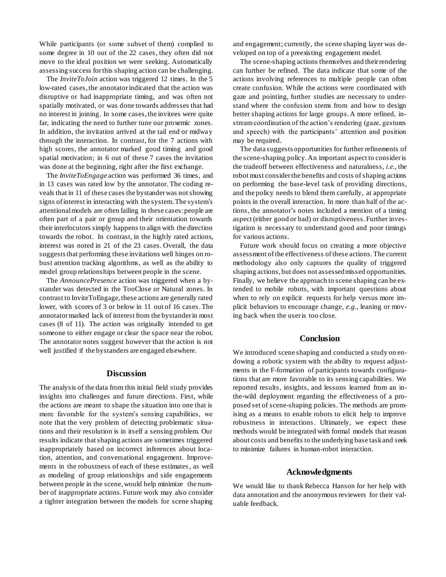While participants (or some subset of them) complied to some degree in 10 out of the 22 cases, they often did not move to the ideal position we were seeking. Automatically assessing success for this shaping action can be challenging.

The *InviteToJoin* action was triggered 12 times. In the 5 low-rated cases, the annotator indicated that the action was disruptive or had inappropriate timing, and was often not spatially motivated, or was done towards addresses that had no interest in joining. In some cases, the invitees were quite far, indicating the need to further tune our proxemic zones. In addition, the invitation arrived at the tail end or midway through the interaction. In contrast, for the 7 actions with high scores, the annotator marked good timing and good spatial motivation; in 6 out of these 7 cases the invitation was done at the beginning, right after the first exchange.

The *InviteToEngage* action was performed 36 times, and in 13 cases was rated low by the annotator. The coding reveals that in 11 of these cases the bystander was not showing signs of interest in interacting with the system. The system's attentional models are often failing in these cases: people are often part of a pair or group and their orientation towards their interlocutors simply happens to align with the direction towards the robot. In contrast, in the highly rated actions, interest was noted in 21 of the 23 cases. Overall, the data suggests that performing these invitations well hinges on robust attention tracking algorithms, as well as the ability to model group relationships between people in the scene.

The *AnnouncePresence* action was triggered when a bystander was detected in the TooClose or Natural zones. In contrast to InviteToEngage, these actions are generally rated lower, with scores of 3 or below in 11 out of 16 cases. The annotator marked lack of interest from the bystander in most cases (8 of 11). The action was originally intended to get someone to either engage or clear the space near the robot. The annotator notes suggest however that the action is not well justified if the bystanders are engaged elsewhere.

### **Discussion**

The analysis of the data from this initial field study provides insights into challenges and future directions. First, while the actions are meant to shape the situation into one that is more favorable for the system's sensing capabilities, we note that the very problem of detecting problematic situations and their resolution is in itself a sensing problem. Our results indicate that shaping actions are sometimes triggered inappropriately based on incorrect inferences about location, attention, and conversational engagement. Improvements in the robustness of each of these estimates, as well as modeling of group relationships and side engagements between people in the scene,would help minimize the number of inappropriate actions. Future work may also consider a tighter integration between the models for scene shaping

and engagement; currently, the scene shaping layer was developed on top of a preexisting engagement model.

The scene-shaping actions themselves and their rendering can further be refined. The data indicate that some of the actions involving references to multiple people can often create confusion. While the actions were coordinated with gaze and pointing, further studies are necessary to understand where the confusion stems from and how to design better shaping actions for large groups. A more refined, instream coordination of the action's rendering (gaze, gestures and speech) with the participants' attention and position may be required.

The data suggests opportunities for further refinements of the scene-shaping policy. An important aspect to consider is the tradeoff between effectiveness and naturalness, *i.e.*, the robot must consider the benefits and costs of shaping actions on performing the base-level task of providing directions, and the policy needs to blend them carefully, at appropriate points in the overall interaction. In more than half of the actions, the annotator's notes included a mention of a timing aspect (either good or bad) or disruptiveness. Further investigation is necessary to understand good and poor timings for various actions.

Future work should focus on creating a more objective assessment of the effectiveness of these actions. The current methodology also only captures the quality of triggered shaping actions, but does not assessed missed opportunities. Finally, we believe the approach to scene shaping can be extended to mobile robots, with important questions about when to rely on explicit requests for help versus more implicit behaviors to encourage change, *e.g.*, leaning or moving back when the user is too close.

### **Conclusion**

We introduced scene shaping and conducted a study on endowing a robotic system with the ability to request adjustments in the F-formation of participants towards configurations that are more favorable to its sensing capabilities. We reported results, insights, and lessons learned from an inthe-wild deployment regarding the effectiveness of a proposed set of scene-shaping policies. The methods are promising as a means to enable robots to elicit help to improve robustness in interactions. Ultimately, we expect these methods would be integrated with formal models that reason about costs and benefits to the underlying base task and seek to minimize failures in human-robot interaction.

#### **Acknowledgments**

We would like to thank Rebecca Hanson for her help with data annotation and the anonymous reviewers for their valuable feedback.